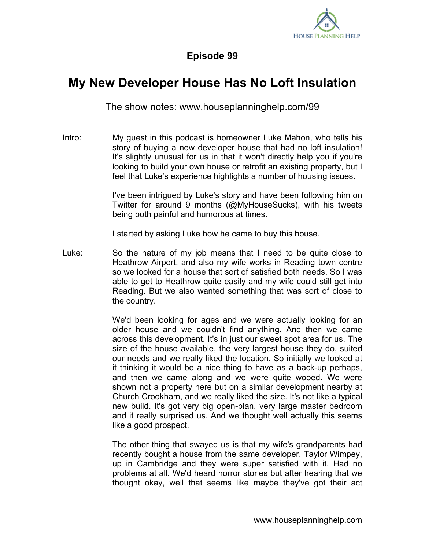

## **Episode 99**

## **My New Developer House Has No Loft Insulation**

The show notes: www.houseplanninghelp.com/99

Intro: My guest in this podcast is homeowner Luke Mahon, who tells his story of buying a new developer house that had no loft insulation! It's slightly unusual for us in that it won't directly help you if you're looking to build your own house or retrofit an existing property, but I feel that Luke's experience highlights a number of housing issues.

> I've been intrigued by Luke's story and have been following him on Twitter for around 9 months (@MyHouseSucks), with his tweets being both painful and humorous at times.

I started by asking Luke how he came to buy this house.

Luke: So the nature of my job means that I need to be quite close to Heathrow Airport, and also my wife works in Reading town centre so we looked for a house that sort of satisfied both needs. So I was able to get to Heathrow quite easily and my wife could still get into Reading. But we also wanted something that was sort of close to the country.

> We'd been looking for ages and we were actually looking for an older house and we couldn't find anything. And then we came across this development. It's in just our sweet spot area for us. The size of the house available, the very largest house they do, suited our needs and we really liked the location. So initially we looked at it thinking it would be a nice thing to have as a back-up perhaps, and then we came along and we were quite wooed. We were shown not a property here but on a similar development nearby at Church Crookham, and we really liked the size. It's not like a typical new build. It's got very big open-plan, very large master bedroom and it really surprised us. And we thought well actually this seems like a good prospect.

> The other thing that swayed us is that my wife's grandparents had recently bought a house from the same developer, Taylor Wimpey, up in Cambridge and they were super satisfied with it. Had no problems at all. We'd heard horror stories but after hearing that we thought okay, well that seems like maybe they've got their act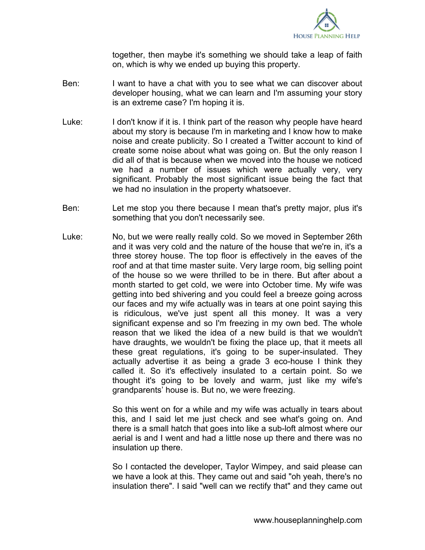

together, then maybe it's something we should take a leap of faith on, which is why we ended up buying this property.

- Ben: I want to have a chat with you to see what we can discover about developer housing, what we can learn and I'm assuming your story is an extreme case? I'm hoping it is.
- Luke: I don't know if it is. I think part of the reason why people have heard about my story is because I'm in marketing and I know how to make noise and create publicity. So I created a Twitter account to kind of create some noise about what was going on. But the only reason I did all of that is because when we moved into the house we noticed we had a number of issues which were actually very, very significant. Probably the most significant issue being the fact that we had no insulation in the property whatsoever.
- Ben: Let me stop you there because I mean that's pretty major, plus it's something that you don't necessarily see.
- Luke: No, but we were really really cold. So we moved in September 26th and it was very cold and the nature of the house that we're in, it's a three storey house. The top floor is effectively in the eaves of the roof and at that time master suite. Very large room, big selling point of the house so we were thrilled to be in there. But after about a month started to get cold, we were into October time. My wife was getting into bed shivering and you could feel a breeze going across our faces and my wife actually was in tears at one point saying this is ridiculous, we've just spent all this money. It was a very significant expense and so I'm freezing in my own bed. The whole reason that we liked the idea of a new build is that we wouldn't have draughts, we wouldn't be fixing the place up, that it meets all these great regulations, it's going to be super-insulated. They actually advertise it as being a grade 3 eco-house I think they called it. So it's effectively insulated to a certain point. So we thought it's going to be lovely and warm, just like my wife's grandparents' house is. But no, we were freezing.

So this went on for a while and my wife was actually in tears about this, and I said let me just check and see what's going on. And there is a small hatch that goes into like a sub-loft almost where our aerial is and I went and had a little nose up there and there was no insulation up there.

So I contacted the developer, Taylor Wimpey, and said please can we have a look at this. They came out and said "oh yeah, there's no insulation there". I said "well can we rectify that" and they came out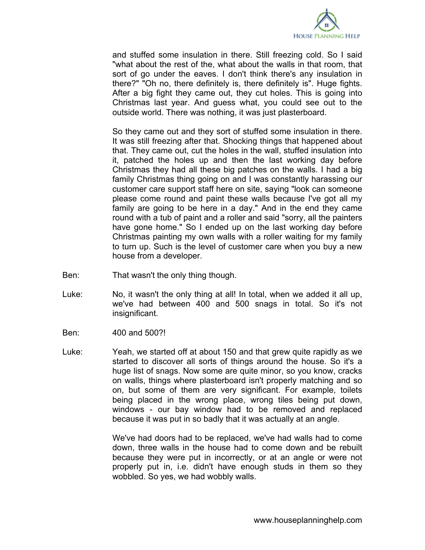

and stuffed some insulation in there. Still freezing cold. So I said "what about the rest of the, what about the walls in that room, that sort of go under the eaves. I don't think there's any insulation in there?" "Oh no, there definitely is, there definitely is". Huge fights. After a big fight they came out, they cut holes. This is going into Christmas last year. And guess what, you could see out to the outside world. There was nothing, it was just plasterboard.

So they came out and they sort of stuffed some insulation in there. It was still freezing after that. Shocking things that happened about that. They came out, cut the holes in the wall, stuffed insulation into it, patched the holes up and then the last working day before Christmas they had all these big patches on the walls. I had a big family Christmas thing going on and I was constantly harassing our customer care support staff here on site, saying "look can someone please come round and paint these walls because I've got all my family are going to be here in a day." And in the end they came round with a tub of paint and a roller and said "sorry, all the painters have gone home." So I ended up on the last working day before Christmas painting my own walls with a roller waiting for my family to turn up. Such is the level of customer care when you buy a new house from a developer.

- Ben: That wasn't the only thing though.
- Luke: No, it wasn't the only thing at all! In total, when we added it all up, we've had between 400 and 500 snags in total. So it's not insignificant.
- Ben: 400 and 500?!
- Luke: Yeah, we started off at about 150 and that grew quite rapidly as we started to discover all sorts of things around the house. So it's a huge list of snags. Now some are quite minor, so you know, cracks on walls, things where plasterboard isn't properly matching and so on, but some of them are very significant. For example, toilets being placed in the wrong place, wrong tiles being put down, windows - our bay window had to be removed and replaced because it was put in so badly that it was actually at an angle.

We've had doors had to be replaced, we've had walls had to come down, three walls in the house had to come down and be rebuilt because they were put in incorrectly, or at an angle or were not properly put in, i.e. didn't have enough studs in them so they wobbled. So yes, we had wobbly walls.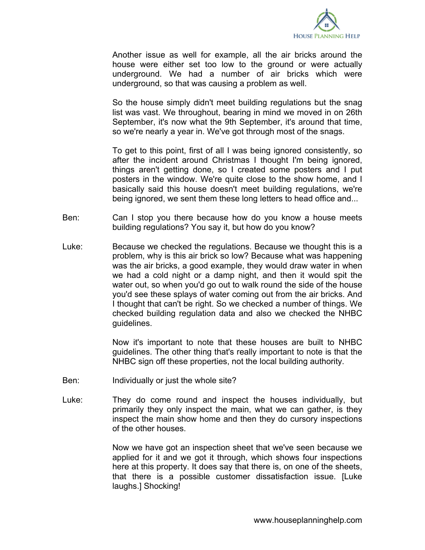

Another issue as well for example, all the air bricks around the house were either set too low to the ground or were actually underground. We had a number of air bricks which were underground, so that was causing a problem as well.

So the house simply didn't meet building regulations but the snag list was vast. We throughout, bearing in mind we moved in on 26th September, it's now what the 9th September, it's around that time, so we're nearly a year in. We've got through most of the snags.

To get to this point, first of all I was being ignored consistently, so after the incident around Christmas I thought I'm being ignored, things aren't getting done, so I created some posters and I put posters in the window. We're quite close to the show home, and I basically said this house doesn't meet building regulations, we're being ignored, we sent them these long letters to head office and...

- Ben: Can I stop you there because how do you know a house meets building regulations? You say it, but how do you know?
- Luke: Because we checked the regulations. Because we thought this is a problem, why is this air brick so low? Because what was happening was the air bricks, a good example, they would draw water in when we had a cold night or a damp night, and then it would spit the water out, so when you'd go out to walk round the side of the house you'd see these splays of water coming out from the air bricks. And I thought that can't be right. So we checked a number of things. We checked building regulation data and also we checked the NHBC guidelines.

Now it's important to note that these houses are built to NHBC guidelines. The other thing that's really important to note is that the NHBC sign off these properties, not the local building authority.

- Ben: Individually or just the whole site?
- Luke: They do come round and inspect the houses individually, but primarily they only inspect the main, what we can gather, is they inspect the main show home and then they do cursory inspections of the other houses.

Now we have got an inspection sheet that we've seen because we applied for it and we got it through, which shows four inspections here at this property. It does say that there is, on one of the sheets, that there is a possible customer dissatisfaction issue. [Luke laughs.] Shocking!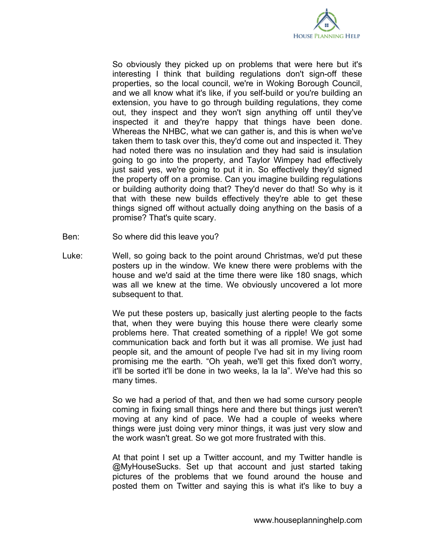

So obviously they picked up on problems that were here but it's interesting I think that building regulations don't sign-off these properties, so the local council, we're in Woking Borough Council, and we all know what it's like, if you self-build or you're building an extension, you have to go through building regulations, they come out, they inspect and they won't sign anything off until they've inspected it and they're happy that things have been done. Whereas the NHBC, what we can gather is, and this is when we've taken them to task over this, they'd come out and inspected it. They had noted there was no insulation and they had said is insulation going to go into the property, and Taylor Wimpey had effectively just said yes, we're going to put it in. So effectively they'd signed the property off on a promise. Can you imagine building regulations or building authority doing that? They'd never do that! So why is it that with these new builds effectively they're able to get these things signed off without actually doing anything on the basis of a promise? That's quite scary.

- Ben: So where did this leave you?
- Luke: Well, so going back to the point around Christmas, we'd put these posters up in the window. We knew there were problems with the house and we'd said at the time there were like 180 snags, which was all we knew at the time. We obviously uncovered a lot more subsequent to that.

We put these posters up, basically just alerting people to the facts that, when they were buying this house there were clearly some problems here. That created something of a ripple! We got some communication back and forth but it was all promise. We just had people sit, and the amount of people I've had sit in my living room promising me the earth. "Oh yeah, we'll get this fixed don't worry, it'll be sorted it'll be done in two weeks, la la la". We've had this so many times.

So we had a period of that, and then we had some cursory people coming in fixing small things here and there but things just weren't moving at any kind of pace. We had a couple of weeks where things were just doing very minor things, it was just very slow and the work wasn't great. So we got more frustrated with this.

At that point I set up a Twitter account, and my Twitter handle is @MyHouseSucks. Set up that account and just started taking pictures of the problems that we found around the house and posted them on Twitter and saying this is what it's like to buy a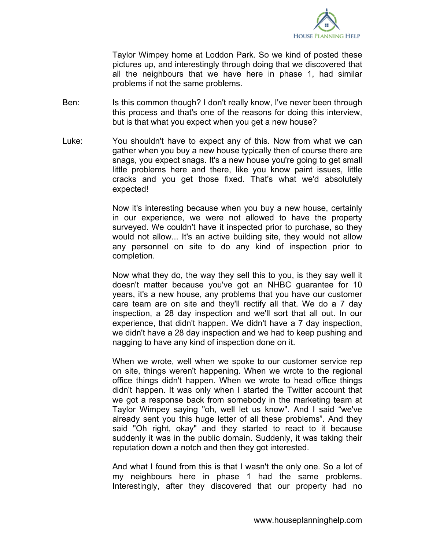

Taylor Wimpey home at Loddon Park. So we kind of posted these pictures up, and interestingly through doing that we discovered that all the neighbours that we have here in phase 1, had similar problems if not the same problems.

- Ben: Is this common though? I don't really know, I've never been through this process and that's one of the reasons for doing this interview, but is that what you expect when you get a new house?
- Luke: You shouldn't have to expect any of this. Now from what we can gather when you buy a new house typically then of course there are snags, you expect snags. It's a new house you're going to get small little problems here and there, like you know paint issues, little cracks and you get those fixed. That's what we'd absolutely expected!

Now it's interesting because when you buy a new house, certainly in our experience, we were not allowed to have the property surveyed. We couldn't have it inspected prior to purchase, so they would not allow... It's an active building site, they would not allow any personnel on site to do any kind of inspection prior to completion.

Now what they do, the way they sell this to you, is they say well it doesn't matter because you've got an NHBC guarantee for 10 years, it's a new house, any problems that you have our customer care team are on site and they'll rectify all that. We do a 7 day inspection, a 28 day inspection and we'll sort that all out. In our experience, that didn't happen. We didn't have a 7 day inspection, we didn't have a 28 day inspection and we had to keep pushing and nagging to have any kind of inspection done on it.

When we wrote, well when we spoke to our customer service rep on site, things weren't happening. When we wrote to the regional office things didn't happen. When we wrote to head office things didn't happen. It was only when I started the Twitter account that we got a response back from somebody in the marketing team at Taylor Wimpey saying "oh, well let us know". And I said "we've already sent you this huge letter of all these problems". And they said "Oh right, okay" and they started to react to it because suddenly it was in the public domain. Suddenly, it was taking their reputation down a notch and then they got interested.

And what I found from this is that I wasn't the only one. So a lot of my neighbours here in phase 1 had the same problems. Interestingly, after they discovered that our property had no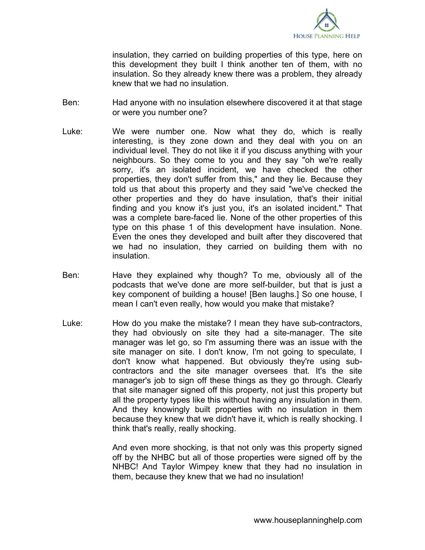

insulation, they carried on building properties of this type, here on this development they built I think another ten of them, with no insulation. So they already knew there was a problem, they already knew that we had no insulation.

- Ben: Had anyone with no insulation elsewhere discovered it at that stage or were you number one?
- Luke: We were number one. Now what they do, which is really interesting, is they zone down and they deal with you on an individual level. They do not like it if you discuss anything with your neighbours. So they come to you and they say "oh we're really sorry, it's an isolated incident, we have checked the other properties, they don't suffer from this," and they lie. Because they told us that about this property and they said "we've checked the other properties and they do have insulation, that's their initial finding and you know it's just you, it's an isolated incident." That was a complete bare-faced lie. None of the other properties of this type on this phase 1 of this development have insulation. None. Even the ones they developed and built after they discovered that we had no insulation, they carried on building them with no insulation.
- Ben: Have they explained why though? To me, obviously all of the podcasts that we've done are more self-builder, but that is just a key component of building a house! [Ben laughs.] So one house, I mean I can't even really, how would you make that mistake?
- Luke: How do you make the mistake? I mean they have sub-contractors, they had obviously on site they had a site-manager. The site manager was let go, so I'm assuming there was an issue with the site manager on site. I don't know, I'm not going to speculate, I don't know what happened. But obviously they're using subcontractors and the site manager oversees that. It's the site manager's job to sign off these things as they go through. Clearly that site manager signed off this property, not just this property but all the property types like this without having any insulation in them. And they knowingly built properties with no insulation in them because they knew that we didn't have it, which is really shocking. I think that's really, really shocking.

And even more shocking, is that not only was this property signed off by the NHBC but all of those properties were signed off by the NHBC! And Taylor Wimpey knew that they had no insulation in them, because they knew that we had no insulation!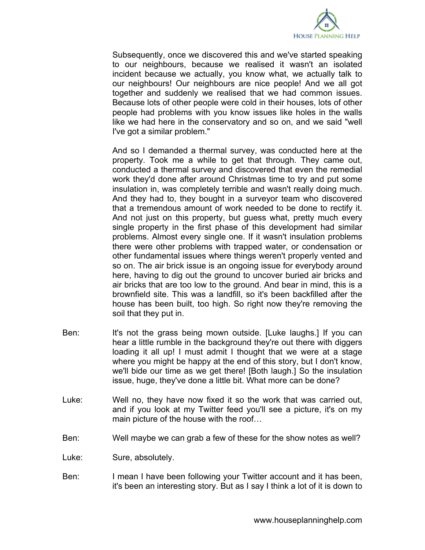

Subsequently, once we discovered this and we've started speaking to our neighbours, because we realised it wasn't an isolated incident because we actually, you know what, we actually talk to our neighbours! Our neighbours are nice people! And we all got together and suddenly we realised that we had common issues. Because lots of other people were cold in their houses, lots of other people had problems with you know issues like holes in the walls like we had here in the conservatory and so on, and we said "well I've got a similar problem."

And so I demanded a thermal survey, was conducted here at the property. Took me a while to get that through. They came out, conducted a thermal survey and discovered that even the remedial work they'd done after around Christmas time to try and put some insulation in, was completely terrible and wasn't really doing much. And they had to, they bought in a surveyor team who discovered that a tremendous amount of work needed to be done to rectify it. And not just on this property, but guess what, pretty much every single property in the first phase of this development had similar problems. Almost every single one. If it wasn't insulation problems there were other problems with trapped water, or condensation or other fundamental issues where things weren't properly vented and so on. The air brick issue is an ongoing issue for everybody around here, having to dig out the ground to uncover buried air bricks and air bricks that are too low to the ground. And bear in mind, this is a brownfield site. This was a landfill, so it's been backfilled after the house has been built, too high. So right now they're removing the soil that they put in.

- Ben: It's not the grass being mown outside. [Luke laughs.] If you can hear a little rumble in the background they're out there with diggers loading it all up! I must admit I thought that we were at a stage where you might be happy at the end of this story, but I don't know, we'll bide our time as we get there! [Both laugh.] So the insulation issue, huge, they've done a little bit. What more can be done?
- Luke: Well no, they have now fixed it so the work that was carried out, and if you look at my Twitter feed you'll see a picture, it's on my main picture of the house with the roof…
- Ben: Well maybe we can grab a few of these for the show notes as well?
- Luke: Sure, absolutely.
- Ben: I mean I have been following your Twitter account and it has been, it's been an interesting story. But as I say I think a lot of it is down to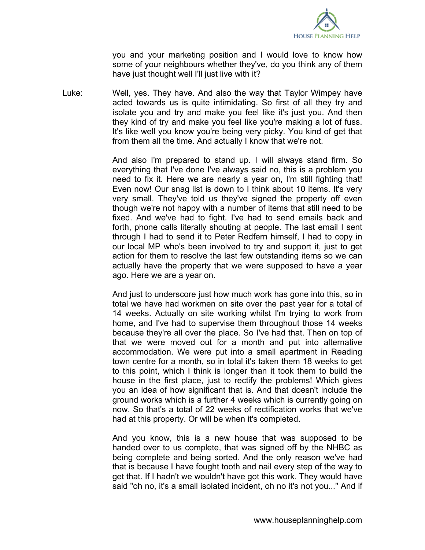

you and your marketing position and I would love to know how some of your neighbours whether they've, do you think any of them have just thought well I'll just live with it?

Luke: Well, yes. They have. And also the way that Taylor Wimpey have acted towards us is quite intimidating. So first of all they try and isolate you and try and make you feel like it's just you. And then they kind of try and make you feel like you're making a lot of fuss. It's like well you know you're being very picky. You kind of get that from them all the time. And actually I know that we're not.

> And also I'm prepared to stand up. I will always stand firm. So everything that I've done I've always said no, this is a problem you need to fix it. Here we are nearly a year on, I'm still fighting that! Even now! Our snag list is down to I think about 10 items. It's very very small. They've told us they've signed the property off even though we're not happy with a number of items that still need to be fixed. And we've had to fight. I've had to send emails back and forth, phone calls literally shouting at people. The last email I sent through I had to send it to Peter Redfern himself, I had to copy in our local MP who's been involved to try and support it, just to get action for them to resolve the last few outstanding items so we can actually have the property that we were supposed to have a year ago. Here we are a year on.

> And just to underscore just how much work has gone into this, so in total we have had workmen on site over the past year for a total of 14 weeks. Actually on site working whilst I'm trying to work from home, and I've had to supervise them throughout those 14 weeks because they're all over the place. So I've had that. Then on top of that we were moved out for a month and put into alternative accommodation. We were put into a small apartment in Reading town centre for a month, so in total it's taken them 18 weeks to get to this point, which I think is longer than it took them to build the house in the first place, just to rectify the problems! Which gives you an idea of how significant that is. And that doesn't include the ground works which is a further 4 weeks which is currently going on now. So that's a total of 22 weeks of rectification works that we've had at this property. Or will be when it's completed.

> And you know, this is a new house that was supposed to be handed over to us complete, that was signed off by the NHBC as being complete and being sorted. And the only reason we've had that is because I have fought tooth and nail every step of the way to get that. If I hadn't we wouldn't have got this work. They would have said "oh no, it's a small isolated incident, oh no it's not you..." And if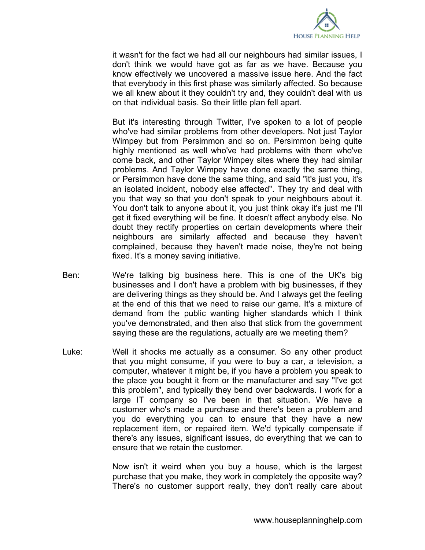

it wasn't for the fact we had all our neighbours had similar issues, I don't think we would have got as far as we have. Because you know effectively we uncovered a massive issue here. And the fact that everybody in this first phase was similarly affected. So because we all knew about it they couldn't try and, they couldn't deal with us on that individual basis. So their little plan fell apart.

But it's interesting through Twitter, I've spoken to a lot of people who've had similar problems from other developers. Not just Taylor Wimpey but from Persimmon and so on. Persimmon being quite highly mentioned as well who've had problems with them who've come back, and other Taylor Wimpey sites where they had similar problems. And Taylor Wimpey have done exactly the same thing, or Persimmon have done the same thing, and said "it's just you, it's an isolated incident, nobody else affected". They try and deal with you that way so that you don't speak to your neighbours about it. You don't talk to anyone about it, you just think okay it's just me I'll get it fixed everything will be fine. It doesn't affect anybody else. No doubt they rectify properties on certain developments where their neighbours are similarly affected and because they haven't complained, because they haven't made noise, they're not being fixed. It's a money saving initiative.

- Ben: We're talking big business here. This is one of the UK's big businesses and I don't have a problem with big businesses, if they are delivering things as they should be. And I always get the feeling at the end of this that we need to raise our game. It's a mixture of demand from the public wanting higher standards which I think you've demonstrated, and then also that stick from the government saying these are the regulations, actually are we meeting them?
- Luke: Well it shocks me actually as a consumer. So any other product that you might consume, if you were to buy a car, a television, a computer, whatever it might be, if you have a problem you speak to the place you bought it from or the manufacturer and say "I've got this problem", and typically they bend over backwards. I work for a large IT company so I've been in that situation. We have a customer who's made a purchase and there's been a problem and you do everything you can to ensure that they have a new replacement item, or repaired item. We'd typically compensate if there's any issues, significant issues, do everything that we can to ensure that we retain the customer.

Now isn't it weird when you buy a house, which is the largest purchase that you make, they work in completely the opposite way? There's no customer support really, they don't really care about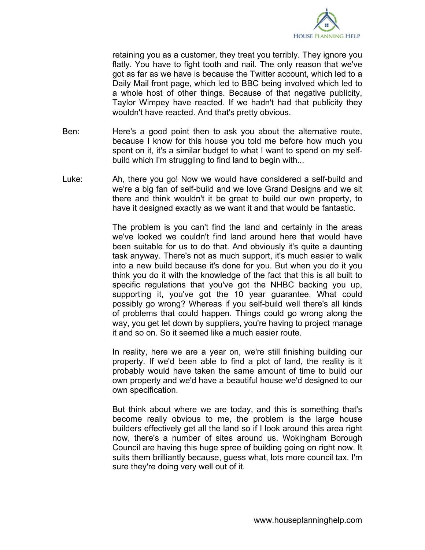

retaining you as a customer, they treat you terribly. They ignore you flatly. You have to fight tooth and nail. The only reason that we've got as far as we have is because the Twitter account, which led to a Daily Mail front page, which led to BBC being involved which led to a whole host of other things. Because of that negative publicity, Taylor Wimpey have reacted. If we hadn't had that publicity they wouldn't have reacted. And that's pretty obvious.

- Ben: Here's a good point then to ask you about the alternative route, because I know for this house you told me before how much you spent on it, it's a similar budget to what I want to spend on my selfbuild which I'm struggling to find land to begin with...
- Luke: Ah, there you go! Now we would have considered a self-build and we're a big fan of self-build and we love Grand Designs and we sit there and think wouldn't it be great to build our own property, to have it designed exactly as we want it and that would be fantastic.

The problem is you can't find the land and certainly in the areas we've looked we couldn't find land around here that would have been suitable for us to do that. And obviously it's quite a daunting task anyway. There's not as much support, it's much easier to walk into a new build because it's done for you. But when you do it you think you do it with the knowledge of the fact that this is all built to specific regulations that you've got the NHBC backing you up, supporting it, you've got the 10 year guarantee. What could possibly go wrong? Whereas if you self-build well there's all kinds of problems that could happen. Things could go wrong along the way, you get let down by suppliers, you're having to project manage it and so on. So it seemed like a much easier route.

In reality, here we are a year on, we're still finishing building our property. If we'd been able to find a plot of land, the reality is it probably would have taken the same amount of time to build our own property and we'd have a beautiful house we'd designed to our own specification.

But think about where we are today, and this is something that's become really obvious to me, the problem is the large house builders effectively get all the land so if I look around this area right now, there's a number of sites around us. Wokingham Borough Council are having this huge spree of building going on right now. It suits them brilliantly because, guess what, lots more council tax. I'm sure they're doing very well out of it.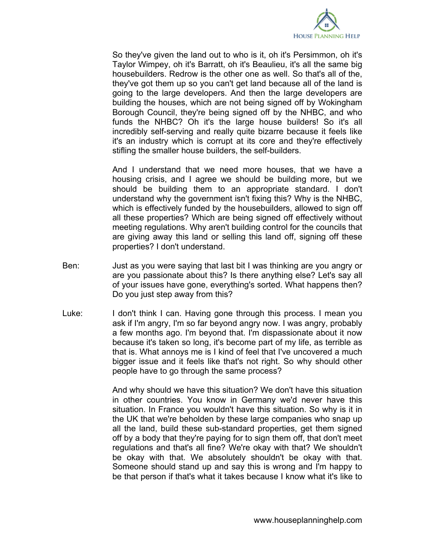

So they've given the land out to who is it, oh it's Persimmon, oh it's Taylor Wimpey, oh it's Barratt, oh it's Beaulieu, it's all the same big housebuilders. Redrow is the other one as well. So that's all of the, they've got them up so you can't get land because all of the land is going to the large developers. And then the large developers are building the houses, which are not being signed off by Wokingham Borough Council, they're being signed off by the NHBC, and who funds the NHBC? Oh it's the large house builders! So it's all incredibly self-serving and really quite bizarre because it feels like it's an industry which is corrupt at its core and they're effectively stifling the smaller house builders, the self-builders.

And I understand that we need more houses, that we have a housing crisis, and I agree we should be building more, but we should be building them to an appropriate standard. I don't understand why the government isn't fixing this? Why is the NHBC, which is effectively funded by the housebuilders, allowed to sign off all these properties? Which are being signed off effectively without meeting regulations. Why aren't building control for the councils that are giving away this land or selling this land off, signing off these properties? I don't understand.

- Ben: Just as you were saying that last bit I was thinking are you angry or are you passionate about this? Is there anything else? Let's say all of your issues have gone, everything's sorted. What happens then? Do you just step away from this?
- Luke: I don't think I can. Having gone through this process. I mean you ask if I'm angry, I'm so far beyond angry now. I was angry, probably a few months ago. I'm beyond that. I'm dispassionate about it now because it's taken so long, it's become part of my life, as terrible as that is. What annoys me is I kind of feel that I've uncovered a much bigger issue and it feels like that's not right. So why should other people have to go through the same process?

And why should we have this situation? We don't have this situation in other countries. You know in Germany we'd never have this situation. In France you wouldn't have this situation. So why is it in the UK that we're beholden by these large companies who snap up all the land, build these sub-standard properties, get them signed off by a body that they're paying for to sign them off, that don't meet regulations and that's all fine? We're okay with that? We shouldn't be okay with that. We absolutely shouldn't be okay with that. Someone should stand up and say this is wrong and I'm happy to be that person if that's what it takes because I know what it's like to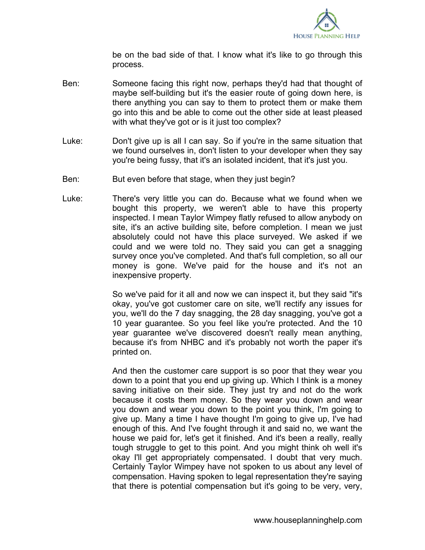

be on the bad side of that. I know what it's like to go through this process.

- Ben: Someone facing this right now, perhaps they'd had that thought of maybe self-building but it's the easier route of going down here, is there anything you can say to them to protect them or make them go into this and be able to come out the other side at least pleased with what they've got or is it just too complex?
- Luke: Don't give up is all I can say. So if you're in the same situation that we found ourselves in, don't listen to your developer when they say you're being fussy, that it's an isolated incident, that it's just you.
- Ben: But even before that stage, when they just begin?
- Luke: There's very little you can do. Because what we found when we bought this property, we weren't able to have this property inspected. I mean Taylor Wimpey flatly refused to allow anybody on site, it's an active building site, before completion. I mean we just absolutely could not have this place surveyed. We asked if we could and we were told no. They said you can get a snagging survey once you've completed. And that's full completion, so all our money is gone. We've paid for the house and it's not an inexpensive property.

So we've paid for it all and now we can inspect it, but they said "it's okay, you've got customer care on site, we'll rectify any issues for you, we'll do the 7 day snagging, the 28 day snagging, you've got a 10 year guarantee. So you feel like you're protected. And the 10 year guarantee we've discovered doesn't really mean anything, because it's from NHBC and it's probably not worth the paper it's printed on.

And then the customer care support is so poor that they wear you down to a point that you end up giving up. Which I think is a money saving initiative on their side. They just try and not do the work because it costs them money. So they wear you down and wear you down and wear you down to the point you think, I'm going to give up. Many a time I have thought I'm going to give up, I've had enough of this. And I've fought through it and said no, we want the house we paid for, let's get it finished. And it's been a really, really tough struggle to get to this point. And you might think oh well it's okay I'll get appropriately compensated. I doubt that very much. Certainly Taylor Wimpey have not spoken to us about any level of compensation. Having spoken to legal representation they're saying that there is potential compensation but it's going to be very, very,